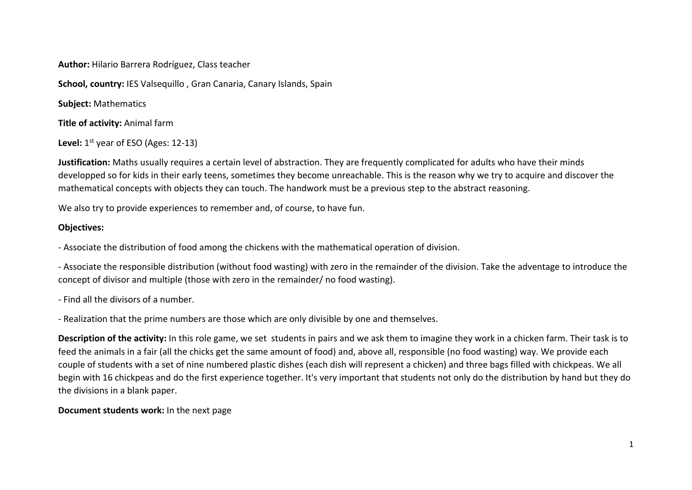**Author:** Hilario Barrera Rodríguez, Class teacher

**School, country:** IES Valsequillo , Gran Canaria, Canary Islands, Spain

**Subject:** Mathematics

**Title of activity:** Animal farm

Level: 1<sup>st</sup> year of ESO (Ages: 12-13)

**Justification:** Maths usually requires a certain level of abstraction. They are frequently complicated for adults who have their minds developped so for kids in their early teens, sometimes they become unreachable. This is the reason why we try to acquire and discover the mathematical concepts with objects they can touch. The handwork must be a previous step to the abstract reasoning.

We also try to provide experiences to remember and, of course, to have fun.

# **Objectives:**

‐ Associate the distribution of food among the chickens with the mathematical operation of division.

‐ Associate the responsible distribution (without food wasting) with zero in the remainder of the division. Take the adventage to introduce the concept of divisor and multiple (those with zero in the remainder/ no food wasting).

‐ Find all the divisors of a number.

‐ Realization that the prime numbers are those which are only divisible by one and themselves.

**Description of the activity:** In this role game, we set students in pairs and we ask them to imagine they work in a chicken farm. Their task is to feed the animals in a fair (all the chicks get the same amount of food) and, above all, responsible (no food wasting) way. We provide each couple of students with a set of nine numbered plastic dishes (each dish will represent a chicken) and three bags filled with chickpeas. We all begin with 16 chickpeas and do the first experience together. It's very important that students not only do the distribution by hand but they do the divisions in a blank paper.

## **Document students work:** In the next page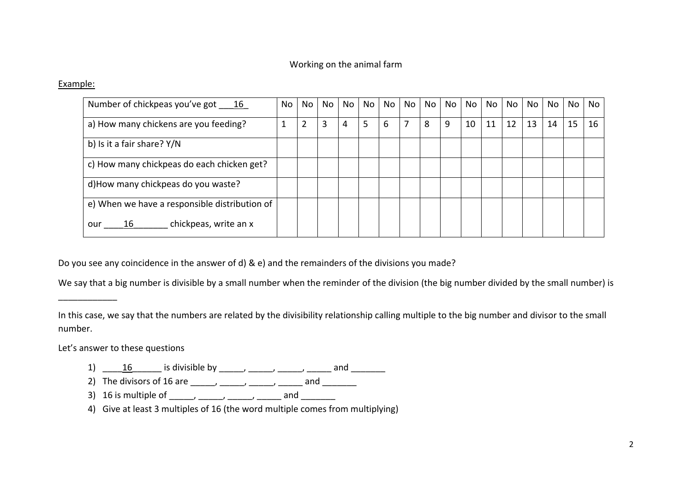## Working on the animal farm

#### Example:

| Number of chickpeas you've got 16             | No | No | No | No | No | No | No | No | No | No | No | No | No | No | No | No |
|-----------------------------------------------|----|----|----|----|----|----|----|----|----|----|----|----|----|----|----|----|
| a) How many chickens are you feeding?         |    | 2  | 3  | 4  | 5  | 6  |    | 8  | 9  | 10 | 11 | 12 | 13 | 14 | 15 | 16 |
| b) Is it a fair share? Y/N                    |    |    |    |    |    |    |    |    |    |    |    |    |    |    |    |    |
| c) How many chickpeas do each chicken get?    |    |    |    |    |    |    |    |    |    |    |    |    |    |    |    |    |
| d) How many chickpeas do you waste?           |    |    |    |    |    |    |    |    |    |    |    |    |    |    |    |    |
| e) When we have a responsible distribution of |    |    |    |    |    |    |    |    |    |    |    |    |    |    |    |    |
| chickpeas, write an x<br><u> 16</u><br>our    |    |    |    |    |    |    |    |    |    |    |    |    |    |    |    |    |

Do you see any coincidence in the answer of d) & e) and the remainders of the divisions you made?

We say that a big number is divisible by a small number when the reminder of the division (the big number divided by the small number) is

In this case, we say that the numbers are related by the divisibility relationship calling multiple to the big number and divisor to the small number.

Let's answer to these questions

- 1)  $\frac{16}{\sqrt{16}}$  is divisible by  $\frac{16}{\sqrt{16}}$  and  $\frac{16}{\sqrt{16}}$
- 2) The divisors of 16 are \_\_\_\_\_, \_\_\_\_\_, \_\_\_\_\_, \_\_\_\_\_ and \_\_\_\_\_\_\_
- 3) 16 is multiple of \_\_\_\_\_, \_\_\_\_\_, \_\_\_\_\_, \_\_\_\_\_ and \_\_\_\_\_\_\_
- 4) Give at least 3 multiples of 16 (the word multiple comes from multiplying)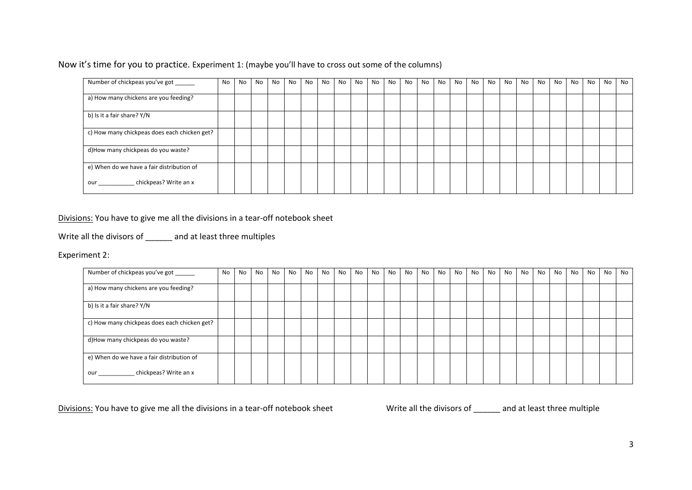Now it's time for you to practice. Experiment 1: (maybe you'll have to cross out some of the columns)

| Number of chickpeas you've got ______        | <b>No</b> | No | No | No | No | No. | No | <b>No</b> | No | No | No. | No | No | No | No | No. | No | No. | No. | No | No | No. | No | <b>No</b> | <b>No</b> |
|----------------------------------------------|-----------|----|----|----|----|-----|----|-----------|----|----|-----|----|----|----|----|-----|----|-----|-----|----|----|-----|----|-----------|-----------|
| a) How many chickens are you feeding?        |           |    |    |    |    |     |    |           |    |    |     |    |    |    |    |     |    |     |     |    |    |     |    |           |           |
| b) Is it a fair share? Y/N                   |           |    |    |    |    |     |    |           |    |    |     |    |    |    |    |     |    |     |     |    |    |     |    |           |           |
| c) How many chickpeas does each chicken get? |           |    |    |    |    |     |    |           |    |    |     |    |    |    |    |     |    |     |     |    |    |     |    |           |           |
| d)How many chickpeas do you waste?           |           |    |    |    |    |     |    |           |    |    |     |    |    |    |    |     |    |     |     |    |    |     |    |           |           |
| e) When do we have a fair distribution of    |           |    |    |    |    |     |    |           |    |    |     |    |    |    |    |     |    |     |     |    |    |     |    |           |           |
| chickpeas? Write an x<br><b>our</b>          |           |    |    |    |    |     |    |           |    |    |     |    |    |    |    |     |    |     |     |    |    |     |    |           |           |

Divisions: You have to give me all the divisions in a tear-off notebook sheet

Write all the divisors of \_\_\_\_\_\_ and at least three multiples

Experiment 2:

| Number of chickpeas you've got ______                                                                                                                                                                                                                        | No | No | No. | No | No | No | No | No | No | No | No | No l | No | No. | No | No | <b>No</b> | No | No | No | No | No | No | No | No |
|--------------------------------------------------------------------------------------------------------------------------------------------------------------------------------------------------------------------------------------------------------------|----|----|-----|----|----|----|----|----|----|----|----|------|----|-----|----|----|-----------|----|----|----|----|----|----|----|----|
| a) How many chickens are you feeding?                                                                                                                                                                                                                        |    |    |     |    |    |    |    |    |    |    |    |      |    |     |    |    |           |    |    |    |    |    |    |    |    |
| b) Is it a fair share? Y/N                                                                                                                                                                                                                                   |    |    |     |    |    |    |    |    |    |    |    |      |    |     |    |    |           |    |    |    |    |    |    |    |    |
| c) How many chickpeas does each chicken get?                                                                                                                                                                                                                 |    |    |     |    |    |    |    |    |    |    |    |      |    |     |    |    |           |    |    |    |    |    |    |    |    |
| d)How many chickpeas do you waste?                                                                                                                                                                                                                           |    |    |     |    |    |    |    |    |    |    |    |      |    |     |    |    |           |    |    |    |    |    |    |    |    |
| e) When do we have a fair distribution of                                                                                                                                                                                                                    |    |    |     |    |    |    |    |    |    |    |    |      |    |     |    |    |           |    |    |    |    |    |    |    |    |
| chickpeas? Write an x<br><b>our</b> the contract of the contract of the contract of the contract of the contract of the contract of the contract of the contract of the contract of the contract of the contract of the contract of the contract of the cont |    |    |     |    |    |    |    |    |    |    |    |      |    |     |    |    |           |    |    |    |    |    |    |    |    |

Divisions: You have to give me all the divisions in a tear-off notebook sheet Write all the divisors of \_\_\_\_\_\_ and at least three multiple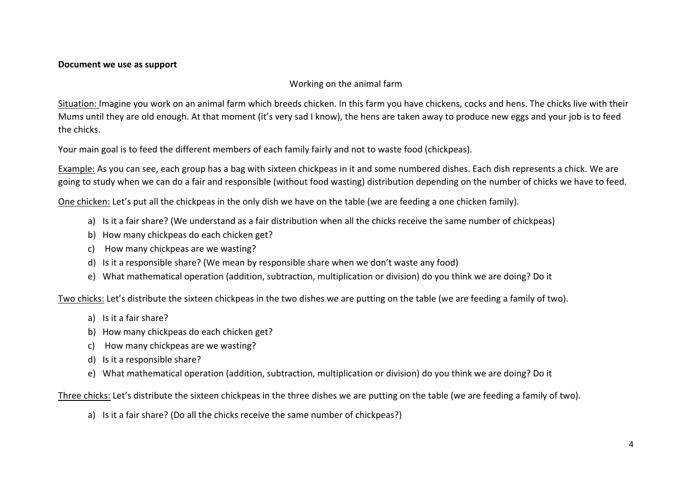#### **Document we use as support**

## Working on the animal farm

Situation: Imagine you work on an animal farm which breeds chicken. In this farm you have chickens, cocks and hens. The chicks live with their Mums until they are old enough. At that moment (it's very sad I know), the hens are taken away to produce new eggs and your job is to feed the chicks.

Your main goal is to feed the different members of each family fairly and not to waste food (chickpeas).

Example: As you can see, each group has a bag with sixteen chickpeas in it and some numbered dishes. Each dish represents a chick. We are going to study when we can do a fair and responsible (without food wasting) distribution depending on the number of chicks we have to feed.

One chicken: Let's put all the chickpeas in the only dish we have on the table (we are feeding a one chicken family).

- a) Is it a fair share? (We understand as a fair distribution when all the chicks receive the same number of chickpeas)
- b) How many chickpeas do each chicken get?
- c) How many chickpeas are we wasting?
- d) Is it a responsible share? (We mean by responsible share when we don't waste any food)
- e) What mathematical operation (addition, subtraction, multiplication or division) do you think we are doing? Do it

Two chicks: Let's distribute the sixteen chickpeas in the two dishes we are putting on the table (we are feeding a family of two).

- a) Is it a fair share?
- b) How many chickpeas do each chicken get?
- c) How many chickpeas are we wasting?
- d) Is it a responsible share?
- e) What mathematical operation (addition, subtraction, multiplication or division) do you think we are doing? Do it

Three chicks: Let's distribute the sixteen chickpeas in the three dishes we are putting on the table (we are feeding a family of two).

a) Is it a fair share? (Do all the chicks receive the same number of chickpeas?)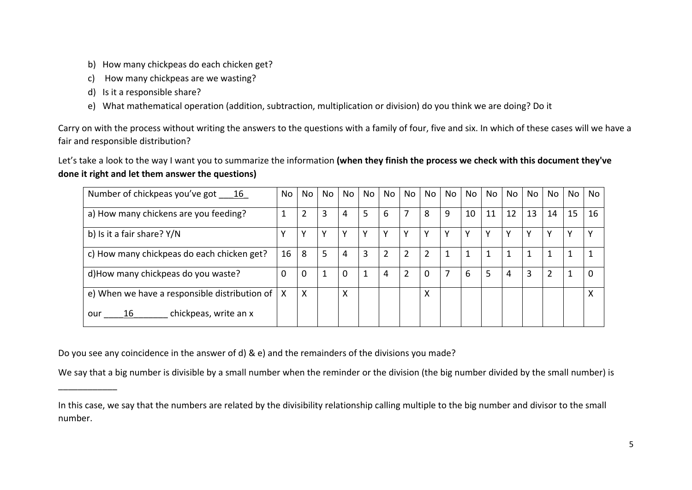- b) How many chickpeas do each chicken get?
- c) How many chickpeas are we wasting?
- d) Is it a responsible share?
- e) What mathematical operation (addition, subtraction, multiplication or division) do you think we are doing? Do it

Carry on with the process without writing the answers to the questions with a family of four, five and six. In which of these cases will we have a fair and responsible distribution?

Let's take a look to the way I want you to summarize the information **(when they finish the process we check with this document they've done it right and let them answer the questions)** 

| Number of chickpeas you've got 16                   | No       | No | No | No | No | No             | No             | No.            | No | No | No | No | No | No | No <sub>1</sub> | No.          |
|-----------------------------------------------------|----------|----|----|----|----|----------------|----------------|----------------|----|----|----|----|----|----|-----------------|--------------|
| a) How many chickens are you feeding?               |          | 2  | 3  | 4  | 5  | 6              | 7              | 8              | 9  | 10 | 11 | 12 | 13 | 14 | 15              | 16           |
| b) Is it a fair share? Y/N                          |          |    | γ  | Υ  | Υ  |                | Υ              | Υ              | Υ  | v  | v  |    | v  |    | Υ               |              |
| c) How many chickpeas do each chicken get?          | 16       | 8  | 5  | 4  | 3  | $\overline{2}$ | $\overline{2}$ | $\overline{2}$ | 1  |    |    |    | 1  |    | 1               |              |
| d) How many chickpeas do you waste?                 | $\Omega$ | 0  |    | 0  |    | 4              | 2              | 0              |    | 6  | 5  | 4  | 3  |    |                 | <sup>n</sup> |
| e) When we have a responsible distribution of $ X $ |          | X  |    | X  |    |                |                | x              |    |    |    |    |    |    |                 | x            |
| chickpeas, write an x<br>16<br>our                  |          |    |    |    |    |                |                |                |    |    |    |    |    |    |                 |              |

Do you see any coincidence in the answer of d) & e) and the remainders of the divisions you made?

We say that a big number is divisible by a small number when the reminder or the division (the big number divided by the small number) is

In this case, we say that the numbers are related by the divisibility relationship calling multiple to the big number and divisor to the small number.